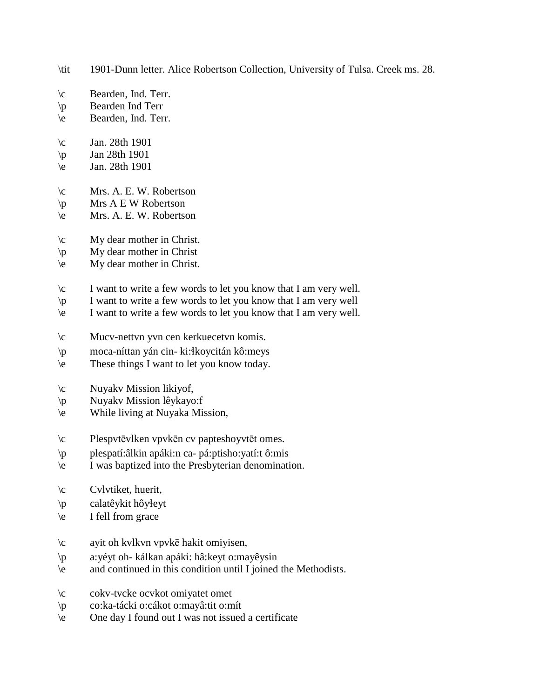- \tit 1901-Dunn letter. Alice Robertson Collection, University of Tulsa. Creek ms. 28.
- \c Bearden, Ind. Terr.
- \p Bearden Ind Terr
- \e Bearden, Ind. Terr.
- $\c$  Jan. 28th 1901
- $\pi$  Jan 28th 1901
- \e Jan. 28th 1901
- \c Mrs. A. E. W. Robertson
- $\pmb{\varphi}$  Mrs A E W Robertson
- \e Mrs. A. E. W. Robertson
- \c My dear mother in Christ.
- \p My dear mother in Christ
- \e My dear mother in Christ.
- $\c$  I want to write a few words to let you know that I am very well.
- \p I want to write a few words to let you know that I am very well
- $\leq$  I want to write a few words to let you know that I am very well.
- \c Mucv-nettvn yvn cen kerkuecetvn komis.
- \p moca-níttan yán cin- ki:!koycitán kô:meys
- \e These things I want to let you know today.
- \c Nuyakv Mission likiyof,
- \p Nuyakv Mission lêykayo:f
- \e While living at Nuyaka Mission,
- \c Plespvtēvlken vpvkēn cv papteshoyvtēt omes.
- \p plespatí:âlkin apáki:n ca- pá:ptisho:yatí:t ô:mis
- \e I was baptized into the Presbyterian denomination.
- \c Cvlvtiket, huerit,
- \p calatêykit hôy!eyt
- \e I fell from grace
- \c ayit oh kvlkvn vpvkē hakit omiyisen,
- \p a:yéyt oh- kálkan apáki: hâ:keyt o:mayêysin
- \e and continued in this condition until I joined the Methodists.
- \c cokv-tvcke ocvkot omiyatet omet
- \p co:ka-tácki o:cákot o:mayâ:tit o:mít
- \e One day I found out I was not issued a certificate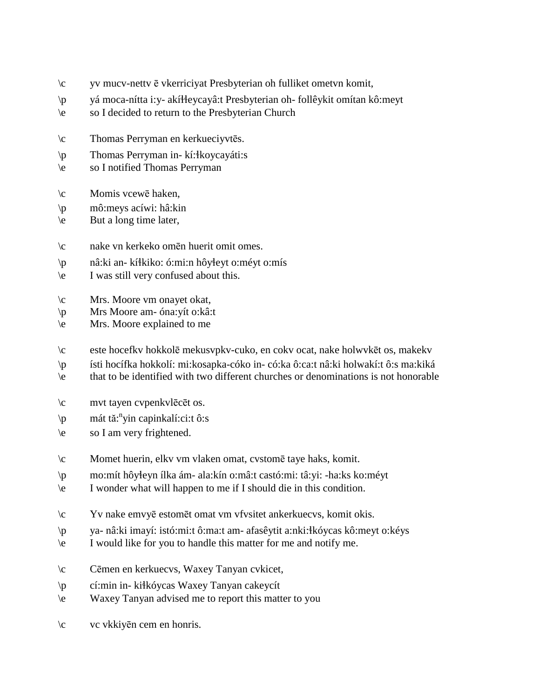- \c yv mucv-nettv ē vkerriciyat Presbyterian oh fulliket ometvn komit,
- \p yá moca-nítta i:y- akí!!eycayâ:t Presbyterian oh- follêykit omítan kô:meyt
- \e so I decided to return to the Presbyterian Church
- \c Thomas Perryman en kerkueciyvtēs.
- \p Thomas Perryman in- kí:!koycayáti:s
- \e so I notified Thomas Perryman
- \c Momis vcewē haken,
- \p mô:meys acíwi: hâ:kin
- \e But a long time later,
- \c nake vn kerkeko omēn huerit omit omes.
- $\pi$  nâ:ki an- kí $\frac{1}{1}$ kiko: ó:mi:n hôy $\frac{1}{1}$ eyt o:méyt o:mís
- \e I was still very confused about this.
- \c Mrs. Moore vm onayet okat,
- \p Mrs Moore am- óna:yít o:kâ:t
- \e Mrs. Moore explained to me
- \c este hocefkv hokkolē mekusvpkv-cuko, en cokv ocat, nake holwvkēt os, makekv
- \p ísti hocífka hokkolí: mi:kosapka-cóko in- có:ka ô:ca:t nâ:ki holwakí:t ô:s ma:kiká
- \e that to be identified with two different churches or denominations is not honorable
- \c mvt tayen cvpenkvlēcēt os.
- \p mát tă: n yin capinkalí:ci:t ô:s
- \e so I am very frightened.
- \c Momet huerin, elkv vm vlaken omat, cvstomē taye haks, komit.
- \p mo:mít hôy!eyn ílka ám- ala:kín o:mâ:t castó:mi: tâ:yi: -ha:ks ko:méyt
- \e I wonder what will happen to me if I should die in this condition.
- \c Yv nake emvyē estomēt omat vm vfvsitet ankerkuecvs, komit okis.
- \p ya- nâ:ki imayí: istó:mi:t ô:ma:t am- afasêytit a:nki:!kóycas kô:meyt o:kéys
- \e I would like for you to handle this matter for me and notify me.
- \c Cēmen en kerkuecvs, Waxey Tanyan cvkicet,
- \p cí:min in- ki!kóycas Waxey Tanyan cakeycít
- \e Waxey Tanyan advised me to report this matter to you
- \c vc vkkiyēn cem en honris.